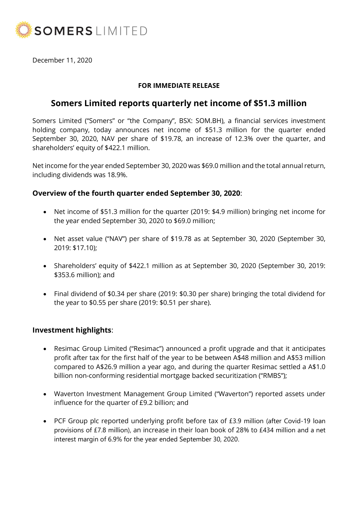

December 11, 2020

#### **FOR IMMEDIATE RELEASE**

# **Somers Limited reports quarterly net income of \$51.3 million**

Somers Limited ("Somers" or "the Company", BSX: SOM.BH), a financial services investment holding company, today announces net income of \$51.3 million for the quarter ended September 30, 2020, NAV per share of \$19.78, an increase of 12.3% over the quarter, and shareholders' equity of \$422.1 million.

Net income for the year ended September 30, 2020 was \$69.0 million and the total annual return, including dividends was 18.9%.

### **Overview of the fourth quarter ended September 30, 2020**:

- Net income of \$51.3 million for the quarter (2019: \$4.9 million) bringing net income for the year ended September 30, 2020 to \$69.0 million;
- Net asset value ("NAV") per share of \$19.78 as at September 30, 2020 (September 30, 2019: \$17.10);
- Shareholders' equity of \$422.1 million as at September 30, 2020 (September 30, 2019: \$353.6 million); and
- Final dividend of \$0.34 per share (2019: \$0.30 per share) bringing the total dividend for the year to \$0.55 per share (2019: \$0.51 per share).

## **Investment highlights**:

- Resimac Group Limited ("Resimac") announced a profit upgrade and that it anticipates profit after tax for the first half of the year to be between A\$48 million and A\$53 million compared to A\$26.9 million a year ago, and during the quarter Resimac settled a A\$1.0 billion non-conforming residential mortgage backed securitization ("RMBS");
- Waverton Investment Management Group Limited ("Waverton") reported assets under influence for the quarter of £9.2 billion; and
- PCF Group plc reported underlying profit before tax of £3.9 million (after Covid-19 loan provisions of £7.8 million), an increase in their loan book of 28% to £434 million and a net interest margin of 6.9% for the year ended September 30, 2020.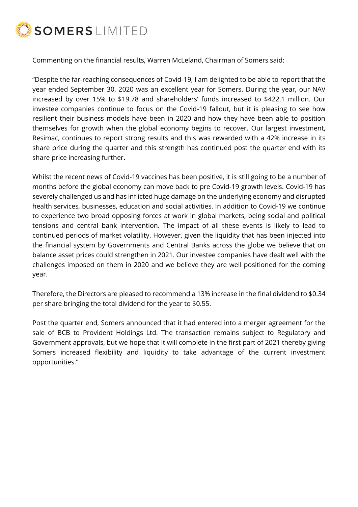

Commenting on the financial results, Warren McLeland, Chairman of Somers said:

"Despite the far-reaching consequences of Covid-19, I am delighted to be able to report that the year ended September 30, 2020 was an excellent year for Somers. During the year, our NAV increased by over 15% to \$19.78 and shareholders' funds increased to \$422.1 million. Our investee companies continue to focus on the Covid-19 fallout, but it is pleasing to see how resilient their business models have been in 2020 and how they have been able to position themselves for growth when the global economy begins to recover. Our largest investment, Resimac, continues to report strong results and this was rewarded with a 42% increase in its share price during the quarter and this strength has continued post the quarter end with its share price increasing further.

Whilst the recent news of Covid-19 vaccines has been positive, it is still going to be a number of months before the global economy can move back to pre Covid-19 growth levels. Covid-19 has severely challenged us and has inflicted huge damage on the underlying economy and disrupted health services, businesses, education and social activities. In addition to Covid-19 we continue to experience two broad opposing forces at work in global markets, being social and political tensions and central bank intervention. The impact of all these events is likely to lead to continued periods of market volatility. However, given the liquidity that has been injected into the financial system by Governments and Central Banks across the globe we believe that on balance asset prices could strengthen in 2021. Our investee companies have dealt well with the challenges imposed on them in 2020 and we believe they are well positioned for the coming year.

Therefore, the Directors are pleased to recommend a 13% increase in the final dividend to \$0.34 per share bringing the total dividend for the year to \$0.55.

Post the quarter end, Somers announced that it had entered into a merger agreement for the sale of BCB to Provident Holdings Ltd. The transaction remains subject to Regulatory and Government approvals, but we hope that it will complete in the first part of 2021 thereby giving Somers increased flexibility and liquidity to take advantage of the current investment opportunities."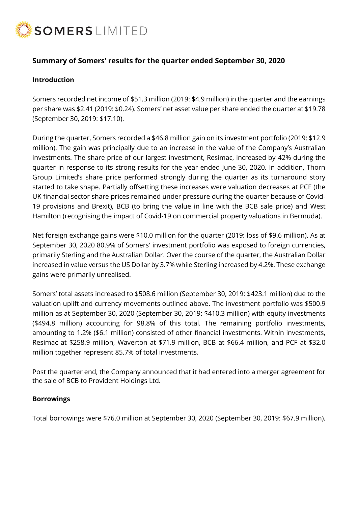

## **Summary of Somers' results for the quarter ended September 30, 2020**

#### **Introduction**

Somers recorded net income of \$51.3 million (2019: \$4.9 million) in the quarter and the earnings per share was \$2.41 (2019: \$0.24). Somers' net asset value per share ended the quarter at \$19.78 (September 30, 2019: \$17.10).

During the quarter, Somers recorded a \$46.8 million gain on its investment portfolio (2019: \$12.9 million). The gain was principally due to an increase in the value of the Company's Australian investments. The share price of our largest investment, Resimac, increased by 42% during the quarter in response to its strong results for the year ended June 30, 2020. In addition, Thorn Group Limited's share price performed strongly during the quarter as its turnaround story started to take shape. Partially offsetting these increases were valuation decreases at PCF (the UK financial sector share prices remained under pressure during the quarter because of Covid-19 provisions and Brexit), BCB (to bring the value in line with the BCB sale price) and West Hamilton (recognising the impact of Covid-19 on commercial property valuations in Bermuda).

Net foreign exchange gains were \$10.0 million for the quarter (2019: loss of \$9.6 million). As at September 30, 2020 80.9% of Somers' investment portfolio was exposed to foreign currencies, primarily Sterling and the Australian Dollar. Over the course of the quarter, the Australian Dollar increased in value versus the US Dollar by 3.7% while Sterling increased by 4.2%. These exchange gains were primarily unrealised.

Somers' total assets increased to \$508.6 million (September 30, 2019: \$423.1 million) due to the valuation uplift and currency movements outlined above. The investment portfolio was \$500.9 million as at September 30, 2020 (September 30, 2019: \$410.3 million) with equity investments (\$494.8 million) accounting for 98.8% of this total. The remaining portfolio investments, amounting to 1.2% (\$6.1 million) consisted of other financial investments. Within investments, Resimac at \$258.9 million, Waverton at \$71.9 million, BCB at \$66.4 million, and PCF at \$32.0 million together represent 85.7% of total investments.

Post the quarter end, the Company announced that it had entered into a merger agreement for the sale of BCB to Provident Holdings Ltd.

#### **Borrowings**

Total borrowings were \$76.0 million at September 30, 2020 (September 30, 2019: \$67.9 million).